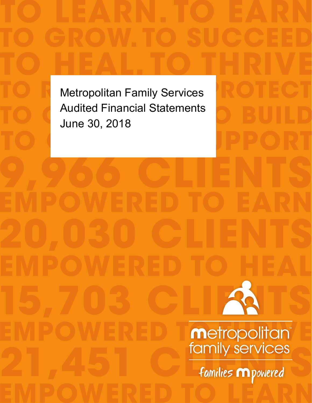families **m** powered **EMPOWERED TO LEARN 9,966 CLIENTS 15,703 CLIENTS Metropolitan EMPOWERED TO HEAL TO HEAL. TO THRIVE TO R**Metropolitan Family Services<br>
ROTECT **TO OCEA** Audited Financial Statements<br>
June 30, 2018 TO GUIDE DEPORT June 30, 2018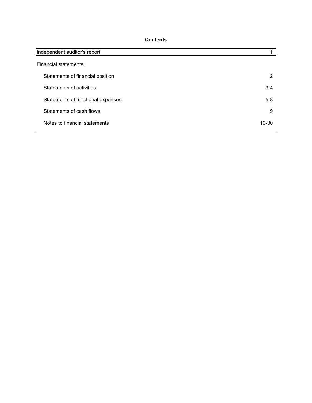# **Contents**

| Independent auditor's report      |           |
|-----------------------------------|-----------|
| Financial statements:             |           |
| Statements of financial position  | 2         |
| Statements of activities          | $3 - 4$   |
| Statements of functional expenses | $5 - 8$   |
| Statements of cash flows          | 9         |
| Notes to financial statements     | $10 - 30$ |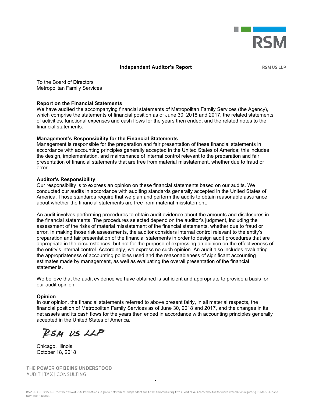

#### **Independent Auditor's Report**

**RSM US LLP** 

To the Board of Directors Metropolitan Family Services

#### **Report on the Financial Statements**

We have audited the accompanying financial statements of Metropolitan Family Services (the Agency), which comprise the statements of financial position as of June 30, 2018 and 2017, the related statements of activities, functional expenses and cash flows for the years then ended, and the related notes to the financial statements.

#### **Management's Responsibility for the Financial Statements**

Management is responsible for the preparation and fair presentation of these financial statements in accordance with accounting principles generally accepted in the United States of America; this includes the design, implementation, and maintenance of internal control relevant to the preparation and fair presentation of financial statements that are free from material misstatement, whether due to fraud or error.

#### **Auditor's Responsibility**

Our responsibility is to express an opinion on these financial statements based on our audits. We conducted our audits in accordance with auditing standards generally accepted in the United States of America. Those standards require that we plan and perform the audits to obtain reasonable assurance about whether the financial statements are free from material misstatement.

An audit involves performing procedures to obtain audit evidence about the amounts and disclosures in the financial statements. The procedures selected depend on the auditor's judgment, including the assessment of the risks of material misstatement of the financial statements, whether due to fraud or error. In making those risk assessments, the auditor considers internal control relevant to the entity's preparation and fair presentation of the financial statements in order to design audit procedures that are appropriate in the circumstances, but not for the purpose of expressing an opinion on the effectiveness of the entity's internal control. Accordingly, we express no such opinion. An audit also includes evaluating the appropriateness of accounting policies used and the reasonableness of significant accounting estimates made by management, as well as evaluating the overall presentation of the financial statements.

We believe that the audit evidence we have obtained is sufficient and appropriate to provide a basis for our audit opinion.

#### **Opinion**

In our opinion, the financial statements referred to above present fairly, in all material respects, the financial position of Metropolitan Family Services as of June 30, 2018 and 2017, and the changes in its net assets and its cash flows for the years then ended in accordance with accounting principles generally accepted in the United States of America.

RSM US LLP

Chicago, Illinois October 18, 2018

THE POWER OF BEING UNDERSTOOD AUDIT | TAX | CONSULTING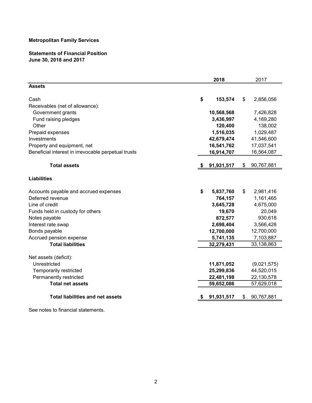# **Statements of Financial Position June 30, 2018 and 2017**

|                                                     |     | 2018       | 2017             |
|-----------------------------------------------------|-----|------------|------------------|
| <b>Assets</b>                                       |     |            |                  |
| Cash                                                | \$  | 153,574    | \$<br>2,856,056  |
| Receivables (net of allowance):                     |     |            |                  |
| Government grants                                   |     | 10,568,568 | 7,426,828        |
| Fund raising pledges                                |     | 3,436,997  | 4,169,280        |
| Other                                               |     | 120,400    | 138,002          |
| Prepaid expenses                                    |     | 1,516,035  | 1,029,487        |
| Investments                                         |     | 42,679,474 | 41,546,600       |
| Property and equipment, net                         |     | 16,541,762 | 17,037,541       |
| Beneficial interest in irrevocable perpetual trusts |     | 16,914,707 | 16,564,087       |
| <b>Total assets</b>                                 | -SS | 91,931,517 | \$<br>90,767,881 |
| <b>Liabilities</b>                                  |     |            |                  |
| Accounts payable and accrued expenses               | \$  | 5,837,760  | \$<br>2,981,416  |
| Deferred revenue                                    |     | 764,157    | 1,161,465        |
| Line of credit                                      |     | 3,645,728  | 4,675,000        |
| Funds held in custody for others                    |     | 19,670     | 20,049           |
| Notes payable                                       |     | 872,577    | 930,618          |
| Interest rate swap                                  |     | 2,698,404  | 3,566,428        |
| Bonds payable                                       |     | 12,700,000 | 12,700,000       |
| Accrued pension expense                             |     | 5,741,135  | 7,103,887        |
| <b>Total liabilities</b>                            |     | 32,279,431 | 33,138,863       |
| Net assets (deficit):                               |     |            |                  |
| Unrestricted                                        |     | 11,871,052 | (9,021,575)      |
| Temporarily restricted                              |     | 25,299,836 | 44,520,015       |
| Permanently restricted                              |     | 22,481,198 | 22,130,578       |
| <b>Total net assets</b>                             |     | 59,652,086 | 57,629,018       |
| <b>Total liabilities and net assets</b>             |     | 91,931,517 | \$<br>90,767,881 |
|                                                     |     |            |                  |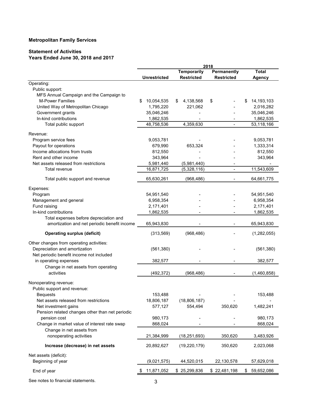# **Statement of Activities Years Ended June 30, 2018 and 2017**

|                                                 |                     |                          | 2018                         |                  |
|-------------------------------------------------|---------------------|--------------------------|------------------------------|------------------|
|                                                 |                     | <b>Temporarily</b>       | Permanently                  | <b>Total</b>     |
|                                                 | <b>Unrestricted</b> | <b>Restricted</b>        | <b>Restricted</b>            | <b>Agency</b>    |
| Operating:                                      |                     |                          |                              |                  |
| Public support:                                 |                     |                          |                              |                  |
| MFS Annual Campaign and the Campaign to         |                     |                          |                              |                  |
| <b>M-Power Families</b>                         | 10,054,535<br>\$    | 4,138,568<br>\$          | \$                           | 14,193,103<br>\$ |
| United Way of Metropolitan Chicago              | 1,795,220           | 221,062                  |                              | 2,016,282        |
| Government grants                               | 35,046,246          |                          |                              | 35,046,246       |
| In-kind contributions                           | 1,862,535           |                          |                              | 1,862,535        |
| Total public support                            | 48,758,536          | 4,359,630                |                              | 53,118,166       |
| Revenue:                                        |                     |                          |                              |                  |
| Program service fees                            | 9,053,781           |                          |                              | 9,053,781        |
| Payout for operations                           | 679,990             | 653,324                  |                              | 1,333,314        |
| Income allocations from trusts                  | 812,550             |                          |                              | 812,550          |
| Rent and other income                           | 343,964             |                          |                              | 343,964          |
| Net assets released from restrictions           | 5,981,440           | (5,981,440)              |                              |                  |
| Total revenue                                   | 16,871,725          | (5,328,116)              | $\overline{a}$               | 11,543,609       |
|                                                 |                     |                          |                              |                  |
| Total public support and revenue                | 65,630,261          | (968, 486)               | $\qquad \qquad \blacksquare$ | 64,661,775       |
| Expenses:                                       |                     |                          |                              |                  |
| Program                                         | 54,951,540          |                          |                              | 54,951,540       |
| Management and general                          | 6,958,354           |                          |                              | 6,958,354        |
| Fund raising                                    | 2,171,401           |                          |                              | 2,171,401        |
| In-kind contributions                           | 1,862,535           |                          |                              | 1,862,535        |
| Total expenses before depreciation and          |                     |                          |                              |                  |
| amortization and net periodic benefit income    | 65,943,830          |                          | ٠                            | 65,943,830       |
| <b>Operating surplus (deficit)</b>              | (313, 569)          | (968, 486)               |                              | (1,282,055)      |
| Other changes from operating activities:        |                     |                          |                              |                  |
| Depreciation and amortization                   | (561, 380)          |                          |                              | (561, 380)       |
| Net periodic benefit income not included        |                     |                          |                              |                  |
| in operating expenses                           | 382,577             |                          | -                            | 382,577          |
| Change in net assets from operating             |                     |                          |                              |                  |
| activities                                      | (492, 372)          | (968, 486)               |                              | (1,460,858)      |
|                                                 |                     |                          |                              |                  |
| Nonoperating revenue:                           |                     |                          |                              |                  |
| Public support and revenue:                     |                     |                          |                              |                  |
| <b>Bequests</b>                                 | 153,488             | $\overline{\phantom{a}}$ |                              | 153,488          |
| Net assets released from restrictions           | 18,806,187          | (18,806,187)             |                              |                  |
| Net investment gains                            | 577,127             | 554,494                  | 350,620                      | 1,482,241        |
| Pension related changes other than net periodic |                     |                          |                              |                  |
| pension cost                                    | 980,173             |                          |                              | 980,173          |
| Change in market value of interest rate swap    | 868,024             |                          |                              | 868,024          |
| Change in net assets from                       |                     |                          |                              |                  |
| nonoperating activities                         | 21,384,999          | (18, 251, 693)           | 350,620                      | 3,483,926        |
| Increase (decrease) in net assets               | 20,892,627          | (19, 220, 179)           | 350,620                      | 2,023,068        |
| Net assets (deficit):                           |                     |                          |                              |                  |
| Beginning of year                               | (9,021,575)         | 44,520,015               | 22,130,578                   | 57,629,018       |
| End of year                                     | 11,871,052          | \$25,299,836             | \$22,481,198                 | 59,652,086<br>\$ |
|                                                 |                     |                          |                              |                  |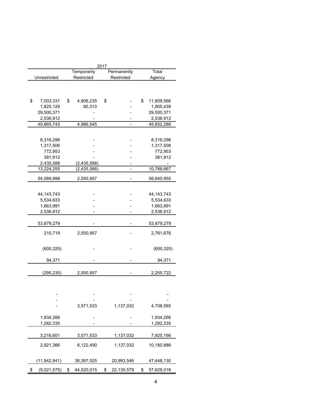|                   |                  | 2017 |             |                  |
|-------------------|------------------|------|-------------|------------------|
|                   | Temporarily      |      | Permanently | Total            |
| Unrestricted      | Restricted       |      | Restricted  | Agency           |
|                   |                  |      |             |                  |
|                   |                  |      |             |                  |
|                   |                  |      |             |                  |
| \$<br>7,003,331   | \$<br>4,906,235  | \$   |             | \$<br>11,909,566 |
| 1,825,129         | 80,310           |      |             | 1,905,439        |
| 29,500,371        |                  |      |             | 29,500,371       |
| 2,536,912         |                  |      |             | 2,536,912        |
| 40,865,743        | 4,986,545        |      |             | 45,852,288       |
|                   |                  |      |             |                  |
|                   |                  |      |             |                  |
| 8,316,296         |                  |      |             | 8,316,296        |
| 1,317,506         |                  |      |             | 1,317,506        |
| 772,953           |                  |      |             | 772,953          |
| 381,912           |                  |      |             | 381,912          |
| 2,435,588         | (2,435,588)      |      |             |                  |
| 13,224,255        | (2, 435, 588)    |      | -           | 10,788,667       |
|                   |                  |      |             |                  |
| 54,089,998        | 2,550,957        |      |             | 56,640,955       |
|                   |                  |      |             |                  |
| 44, 143, 743      |                  |      |             | 44, 143, 743     |
| 5,534,633         |                  |      |             | 5,534,633        |
| 1,663,991         |                  |      |             | 1,663,991        |
| 2,536,912         |                  |      |             | 2,536,912        |
|                   |                  |      |             |                  |
| 53,879,279        |                  |      |             | 53,879,279       |
|                   |                  |      |             |                  |
| 210,719           | 2,550,957        |      |             | 2,761,676        |
|                   |                  |      |             |                  |
| (600, 325)        |                  |      |             | (600, 325)       |
|                   |                  |      |             |                  |
| 94,371            |                  |      |             | 94,371           |
|                   |                  |      |             |                  |
| (295, 235)        | 2,550,957        |      |             | 2,255,722        |
|                   |                  |      |             |                  |
|                   |                  |      |             |                  |
|                   |                  |      |             |                  |
|                   |                  |      |             |                  |
|                   |                  |      |             |                  |
|                   | 3,571,533        |      | 1,137,032   | 4,708,565        |
|                   |                  |      |             |                  |
| 1,934,266         |                  |      |             | 1,934,266        |
| 1,282,335         |                  |      |             | 1,282,335        |
|                   |                  |      |             |                  |
| 3,216,601         | 3,571,533        |      | 1,137,032   | 7,925,166        |
|                   |                  |      |             |                  |
| 2,921,366         | 6,122,490        |      | 1,137,032   | 10,180,888       |
|                   |                  |      |             |                  |
| (11, 942, 941)    | 38,397,525       |      | 20,993,546  | 47,448,130       |
|                   |                  |      |             |                  |
| \$<br>(9,021,575) | \$<br>44,520,015 | \$   | 22,130,578  | \$<br>57,629,018 |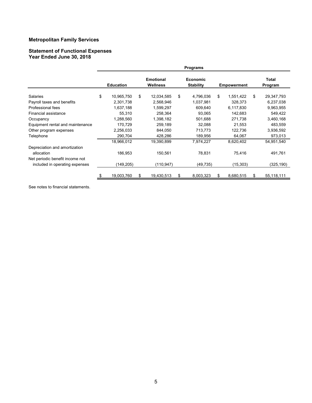#### **Statement of Functional Expenses Year Ended June 30, 2018**

|                                                                   |                  |                              | <b>Programs</b>                     |    |                    |                  |
|-------------------------------------------------------------------|------------------|------------------------------|-------------------------------------|----|--------------------|------------------|
|                                                                   | <b>Education</b> | <b>Emotional</b><br>Wellness | <b>Economic</b><br><b>Stability</b> |    | <b>Empowerment</b> | Total<br>Program |
| Salaries                                                          | \$<br>10,965,750 | \$<br>12,034,585             | \$<br>4,796,036                     | \$ | 1,551,422          | \$<br>29,347,793 |
| Payroll taxes and benefits                                        | 2,301,738        | 2,568,946                    | 1,037,981                           |    | 328,373            | 6,237,038        |
| Professional fees                                                 | 1,637,188        | 1,599,297                    | 609,640                             |    | 6,117,830          | 9,963,955        |
| Financial assistance                                              | 55,310           | 258,364                      | 93,065                              |    | 142,683            | 549,422          |
| Occupancy                                                         | 1,288,560        | 1,398,182                    | 501,688                             |    | 271,738            | 3,460,168        |
| Equipment rental and maintenance                                  | 170,729          | 259,189                      | 32,088                              |    | 21,553             | 483,559          |
| Other program expenses                                            | 2,256,033        | 844,050                      | 713,773                             |    | 122,736            | 3,936,592        |
| Telephone                                                         | 290,704          | 428,286                      | 189,956                             |    | 64,067             | 973,013          |
|                                                                   | 18,966,012       | 19,390,899                   | 7,974,227                           |    | 8,620,402          | 54,951,540       |
| Depreciation and amortization<br>allocation                       | 186,953          | 150,561                      | 78,831                              |    | 75,416             | 491,761          |
| Net periodic benefit income not<br>included in operating expenses | (149,205)        | (110,947)                    | (49, 735)                           |    | (15, 303)          | (325, 190)       |
|                                                                   | 19,003,760       | \$<br>19,430,513             | 8,003,323                           | S  | 8,680,515          | \$<br>55,118,111 |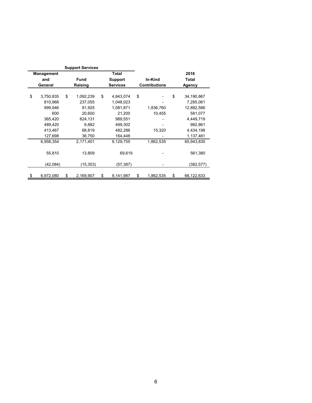|                   | <b>Support Services</b> |                 |    |                      |                  |
|-------------------|-------------------------|-----------------|----|----------------------|------------------|
| <b>Management</b> |                         | Total           |    |                      | 2018             |
| and               | <b>Fund</b>             | <b>Support</b>  |    | In-Kind              | <b>Total</b>     |
| General           | Raising                 | <b>Services</b> |    | <b>Contributions</b> | <b>Agency</b>    |
|                   |                         |                 |    |                      |                  |
| \$<br>3,750,835   | \$<br>1,092,239         | \$<br>4,843,074 | \$ |                      | \$<br>34,190,867 |
| 810,968           | 237,055                 | 1,048,023       |    |                      | 7,285,061        |
| 999,946           | 81,925                  | 1,081,871       |    | 1,836,760            | 12,882,586       |
| 600               | 20,600                  | 21,200          |    | 10,455               | 581,077          |
| 365,420           | 624,131                 | 989,551         |    |                      | 4,449,719        |
| 489,420           | 9,882                   | 499,302         |    |                      | 982,861          |
| 413,467           | 68,819                  | 482,286         |    | 15,320               | 4,434,198        |
| 127,698           | 36,750                  | 164,448         |    |                      | 1,137,461        |
| 6,958,354         | 2,171,401               | 9,129,755       |    | 1,862,535            | 65,943,830       |
| 55,810            | 13,809                  | 69,619          |    |                      | 561,380          |
| (42,084)          | (15, 303)               | (57,387)        |    |                      | (382,577)        |
| \$<br>6,972,080   | \$<br>2,169,907         | \$<br>9,141,987 | \$ | 1,862,535            | \$<br>66,122,633 |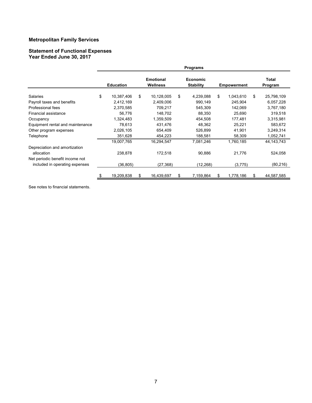#### **Statement of Functional Expenses Year Ended June 30, 2017**

|                                                                   |                  |                              | <b>Programs</b>                     |    |                    |                  |
|-------------------------------------------------------------------|------------------|------------------------------|-------------------------------------|----|--------------------|------------------|
|                                                                   | <b>Education</b> | <b>Emotional</b><br>Wellness | <b>Economic</b><br><b>Stability</b> |    | <b>Empowerment</b> | Total<br>Program |
| Salaries                                                          | \$<br>10,387,406 | \$<br>10,128,005             | \$<br>4,239,088                     | \$ | 1,043,610          | \$<br>25,798,109 |
| Payroll taxes and benefits                                        | 2,412,169        | 2,409,006                    | 990,149                             |    | 245,904            | 6,057,228        |
| Professional fees                                                 | 2,370,585        | 709,217                      | 545,309                             |    | 142,069            | 3,767,180        |
| Financial assistance                                              | 56,776           | 148,702                      | 88,350                              |    | 25,690             | 319,518          |
| Occupancy                                                         | 1,324,483        | 1,359,509                    | 454,508                             |    | 177,481            | 3,315,981        |
| Equipment rental and maintenance                                  | 78,613           | 431,476                      | 48,362                              |    | 25,221             | 583,672          |
| Other program expenses                                            | 2,026,105        | 654,409                      | 526,899                             |    | 41,901             | 3,249,314        |
| Telephone                                                         | 351,628          | 454,223                      | 188,581                             |    | 58,309             | 1,052,741        |
|                                                                   | 19,007,765       | 16,294,547                   | 7,081,246                           |    | 1,760,185          | 44, 143, 743     |
| Depreciation and amortization<br>allocation                       | 238,878          | 172,518                      | 90,886                              |    | 21,776             | 524,058          |
| Net periodic benefit income not<br>included in operating expenses | (36, 805)        | (27, 368)                    | (12, 268)                           |    | (3, 775)           | (80, 216)        |
|                                                                   | 19,209,838       | \$<br>16,439,697             | 7,159,864                           | S  | 1,778,186          | \$<br>44,587,585 |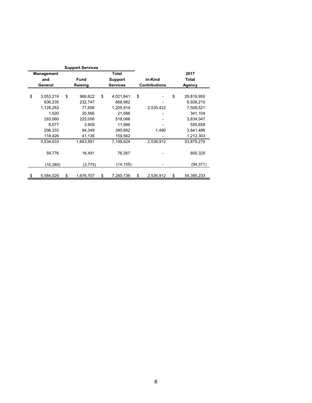|                   | <b>Support Services</b> |                 |                      |                  |
|-------------------|-------------------------|-----------------|----------------------|------------------|
| <b>Management</b> |                         | Total           |                      | 2017             |
| and               | <b>Fund</b>             | <b>Support</b>  | In-Kind              | <b>Total</b>     |
| General           | Raising                 | <b>Services</b> | <b>Contributions</b> | <b>Agency</b>    |
|                   |                         |                 |                      |                  |
| \$<br>3,053,219   | \$<br>968,622           | \$<br>4,021,841 | \$                   | \$<br>29,819,950 |
| 636,235           | 232,747                 | 868,982         |                      | 6,926,210        |
| 1,128,263         | 77,656                  | 1,205,919       | 2,535,422            | 7,508,521        |
| 1,020             | 20,566                  | 21,586          |                      | 341,104          |
| 293,060           | 225,006                 | 518,066         |                      | 3,834,047        |
| 8,077             | 3,909                   | 11,986          |                      | 595,658          |
| 296,333           | 94,349                  | 390,682         | 1,490                | 3,641,486        |
| 118,426           | 41,136                  | 159,562         |                      | 1,212,303        |
| 5,534,633         | 1,663,991               | 7,198,624       | 2,536,912            | 53,879,279       |
| 59,776            | 16.491                  | 76,267          |                      | 600,325          |
| (10, 380)         | (3,775)                 | (14,155)        |                      | (94, 371)        |
| \$<br>5,584,029   | \$<br>1,676,707         | \$<br>7,260,736 | \$<br>2,536,912      | \$<br>54,385,233 |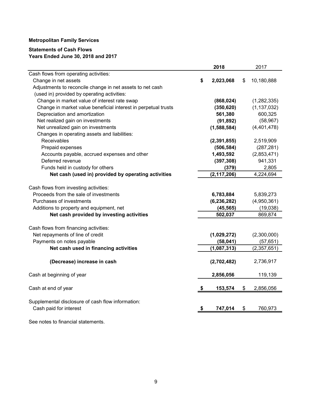# **Statements of Cash Flows Years Ended June 30, 2018 and 2017**

|                                                                | 2018            | 2017             |
|----------------------------------------------------------------|-----------------|------------------|
| Cash flows from operating activities:                          |                 |                  |
| Change in net assets                                           | \$<br>2,023,068 | \$<br>10,180,888 |
| Adjustments to reconcile change in net assets to net cash      |                 |                  |
| (used in) provided by operating activities:                    |                 |                  |
| Change in market value of interest rate swap                   | (868, 024)      | (1, 282, 335)    |
| Change in market value beneficial interest in perpetual trusts | (350, 620)      | (1, 137, 032)    |
| Depreciation and amortization                                  | 561,380         | 600,325          |
| Net realized gain on investments                               | (91, 892)       | (58, 967)        |
| Net unrealized gain on investments                             | (1,588,584)     | (4,401,478)      |
| Changes in operating assets and liabilities:                   |                 |                  |
| Receivables                                                    | (2, 391, 855)   | 2,519,909        |
| Prepaid expenses                                               | (506, 584)      | (287, 281)       |
| Accounts payable, accrued expenses and other                   | 1,493,592       | (2,853,471)      |
| Deferred revenue                                               | (397, 308)      | 941,331          |
| Funds held in custody for others                               | (379)           | 2,805            |
| Net cash (used in) provided by operating activities            | (2, 117, 206)   | 4,224,694        |
|                                                                |                 |                  |
| Cash flows from investing activities:                          |                 |                  |
| Proceeds from the sale of investments                          | 6,783,884       | 5,839,273        |
| Purchases of investments                                       | (6, 236, 282)   | (4,950,361)      |
| Additions to property and equipment, net                       | (45, 565)       | (19,038)         |
| Net cash provided by investing activities                      | 502,037         | 869,874          |
|                                                                |                 |                  |
| Cash flows from financing activities:                          |                 |                  |
| Net repayments of line of credit                               | (1,029,272)     | (2,300,000)      |
| Payments on notes payable                                      | (58,041)        | (57, 651)        |
| Net cash used in financing activities                          | (1,087,313)     | (2,357,651)      |
|                                                                |                 |                  |
| (Decrease) increase in cash                                    | (2,702,482)     | 2,736,917        |
|                                                                |                 |                  |
| Cash at beginning of year                                      | 2,856,056       | 119,139          |
| Cash at end of year                                            | 153,574         | \$<br>2,856,056  |
|                                                                |                 |                  |
| Supplemental disclosure of cash flow information:              |                 |                  |
| Cash paid for interest                                         | 747,014         | \$<br>760,973    |
|                                                                |                 |                  |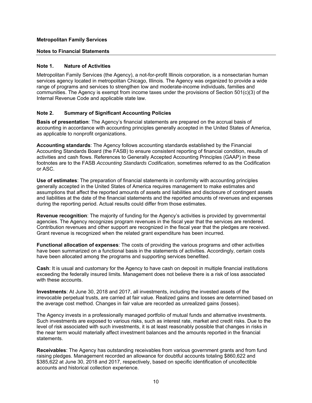#### **Notes to Financial Statements**

#### **Note 1. Nature of Activities**

Metropolitan Family Services (the Agency), a not-for-profit Illinois corporation, is a nonsectarian human services agency located in metropolitan Chicago, Illinois. The Agency was organized to provide a wide range of programs and services to strengthen low and moderate-income individuals, families and communities. The Agency is exempt from income taxes under the provisions of Section 501(c)(3) of the Internal Revenue Code and applicable state law.

# **Note 2. Summary of Significant Accounting Policies**

**Basis of presentation**: The Agency's financial statements are prepared on the accrual basis of accounting in accordance with accounting principles generally accepted in the United States of America, as applicable to nonprofit organizations.

**Accounting standards**: The Agency follows accounting standards established by the Financial Accounting Standards Board (the FASB) to ensure consistent reporting of financial condition, results of activities and cash flows. References to Generally Accepted Accounting Principles (GAAP) in these footnotes are to the FASB *Accounting Standards Codification,* sometimes referred to as the Codification or ASC.

**Use of estimates**: The preparation of financial statements in conformity with accounting principles generally accepted in the United States of America requires management to make estimates and assumptions that affect the reported amounts of assets and liabilities and disclosure of contingent assets and liabilities at the date of the financial statements and the reported amounts of revenues and expenses during the reporting period. Actual results could differ from those estimates.

**Revenue recognition**: The majority of funding for the Agency's activities is provided by governmental agencies. The Agency recognizes program revenues in the fiscal year that the services are rendered. Contribution revenues and other support are recognized in the fiscal year that the pledges are received. Grant revenue is recognized when the related grant expenditure has been incurred.

**Functional allocation of expenses**: The costs of providing the various programs and other activities have been summarized on a functional basis in the statements of activities. Accordingly, certain costs have been allocated among the programs and supporting services benefited.

**Cash**: It is usual and customary for the Agency to have cash on deposit in multiple financial institutions exceeding the federally insured limits. Management does not believe there is a risk of loss associated with these accounts.

**Investments**: At June 30, 2018 and 2017, all investments, including the invested assets of the irrevocable perpetual trusts, are carried at fair value. Realized gains and losses are determined based on the average cost method. Changes in fair value are recorded as unrealized gains (losses).

The Agency invests in a professionally managed portfolio of mutual funds and alternative investments. Such investments are exposed to various risks, such as interest rate, market and credit risks. Due to the level of risk associated with such investments, it is at least reasonably possible that changes in risks in the near term would materially affect investment balances and the amounts reported in the financial statements.

**Receivables**: The Agency has outstanding receivables from various government grants and from fund raising pledges. Management recorded an allowance for doubtful accounts totaling \$860,622 and \$385,622 at June 30, 2018 and 2017, respectively, based on specific identification of uncollectible accounts and historical collection experience.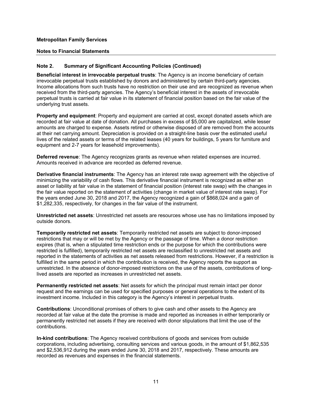#### **Notes to Financial Statements**

### **Note 2. Summary of Significant Accounting Policies (Continued)**

**Beneficial interest in irrevocable perpetual trusts**: The Agency is an income beneficiary of certain irrevocable perpetual trusts established by donors and administered by certain third-party agencies. Income allocations from such trusts have no restriction on their use and are recognized as revenue when received from the third-party agencies. The Agency's beneficial interest in the assets of irrevocable perpetual trusts is carried at fair value in its statement of financial position based on the fair value of the underlying trust assets.

**Property and equipment**: Property and equipment are carried at cost, except donated assets which are recorded at fair value at date of donation. All purchases in excess of \$5,000 are capitalized, while lesser amounts are charged to expense. Assets retired or otherwise disposed of are removed from the accounts at their net carrying amount. Depreciation is provided on a straight-line basis over the estimated useful lives of the related assets or terms of the related leases (40 years for buildings, 5 years for furniture and equipment and 2-7 years for leasehold improvements).

**Deferred revenue**: The Agency recognizes grants as revenue when related expenses are incurred. Amounts received in advance are recorded as deferred revenue.

**Derivative financial instruments**: The Agency has an interest rate swap agreement with the objective of minimizing the variability of cash flows. This derivative financial instrument is recognized as either an asset or liability at fair value in the statement of financial position (interest rate swap) with the changes in the fair value reported on the statement of activities (change in market value of interest rate swap). For the years ended June 30, 2018 and 2017, the Agency recognized a gain of \$868,024 and a gain of \$1,282,335, respectively, for changes in the fair value of the instrument.

**Unrestricted net assets**: Unrestricted net assets are resources whose use has no limitations imposed by outside donors.

**Temporarily restricted net assets**: Temporarily restricted net assets are subject to donor-imposed restrictions that may or will be met by the Agency or the passage of time. When a donor restriction expires (that is, when a stipulated time restriction ends or the purpose for which the contributions were restricted is fulfilled), temporarily restricted net assets are reclassified to unrestricted net assets and reported in the statements of activities as net assets released from restrictions. However, if a restriction is fulfilled in the same period in which the contribution is received, the Agency reports the support as unrestricted. In the absence of donor-imposed restrictions on the use of the assets, contributions of longlived assets are reported as increases in unrestricted net assets.

**Permanently restricted net assets**: Net assets for which the principal must remain intact per donor request and the earnings can be used for specified purposes or general operations to the extent of its investment income. Included in this category is the Agency's interest in perpetual trusts.

**Contributions**: Unconditional promises of others to give cash and other assets to the Agency are recorded at fair value at the date the promise is made and reported as increases in either temporarily or permanently restricted net assets if they are received with donor stipulations that limit the use of the contributions.

**In-kind contributions**: The Agency received contributions of goods and services from outside corporations, including advertising, consulting services and various goods, in the amount of \$1,862,535 and \$2,536,912 during the years ended June 30, 2018 and 2017, respectively. These amounts are recorded as revenues and expenses in the financial statements.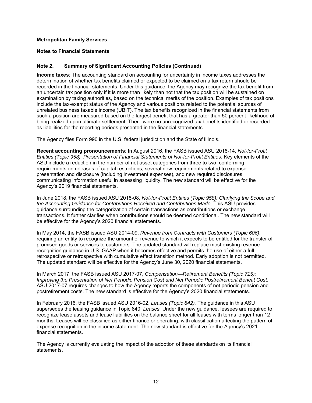#### **Notes to Financial Statements**

# **Note 2. Summary of Significant Accounting Policies (Continued)**

**Income taxes**: The accounting standard on accounting for uncertainty in income taxes addresses the determination of whether tax benefits claimed or expected to be claimed on a tax return should be recorded in the financial statements. Under this guidance, the Agency may recognize the tax benefit from an uncertain tax position only if it is more than likely than not that the tax position will be sustained on examination by taxing authorities, based on the technical merits of the position. Examples of tax positions include the tax-exempt status of the Agency and various positions related to the potential sources of unrelated business taxable income (UBIT). The tax benefits recognized in the financial statements from such a position are measured based on the largest benefit that has a greater than 50 percent likelihood of being realized upon ultimate settlement. There were no unrecognized tax benefits identified or recorded as liabilities for the reporting periods presented in the financial statements.

The Agency files Form 990 in the U.S. federal jurisdiction and the State of Illinois.

**Recent accounting pronouncements**: In August 2016, the FASB issued ASU 2016-14, *Not-for-Profit Entities (Topic 958): Presentation of Financial Statements of Not-for-Profit Entities*. Key elements of the ASU include a reduction in the number of net asset categories from three to two, conforming requirements on releases of capital restrictions, several new requirements related to expense presentation and disclosure (including investment expenses), and new required disclosures communicating information useful in assessing liquidity. The new standard will be effective for the Agency's 2019 financial statements.

In June 2018, the FASB issued ASU 2018-08, *Not-for-Profit Entities (Topic 958): Clarifying the Scope and the Accounting Guidance for Contributions Received and Contributions Made*. This ASU provides guidance surrounding the categorization of certain transactions as contributions or exchange transactions. It further clarifies when contributions should be deemed conditional. The new standard will be effective for the Agency's 2020 financial statements.

In May 2014, the FASB issued ASU 2014-09, *Revenue from Contracts with Customers (Topic 606)*, requiring an entity to recognize the amount of revenue to which it expects to be entitled for the transfer of promised goods or services to customers. The updated standard will replace most existing revenue recognition guidance in U.S. GAAP when it becomes effective and permits the use of either a full retrospective or retrospective with cumulative effect transition method. Early adoption is not permitted. The updated standard will be effective for the Agency's June 30, 2020 financial statements.

In March 2017, the FASB issued ASU 2017-07, *Compensation—Retirement Benefits (Topic 715): Improving the Presentation of Net Periodic Pension Cost and Net Periodic Postretirement Benefit Cost.* ASU 2017-07 requires changes to how the Agency reports the components of net periodic pension and postretirement costs. The new standard is effective for the Agency's 2020 financial statements.

In February 2016, the FASB issued ASU 2016-02, *Leases (Topic 842).* The guidance in this ASU supersedes the leasing guidance in Topic 840, *Leases.* Under the new guidance, lessees are required to recognize lease assets and lease liabilities on the balance sheet for all leases with terms longer than 12 months. Leases will be classified as either finance or operating, with classification affecting the pattern of expense recognition in the income statement. The new standard is effective for the Agency's 2021 financial statements.

The Agency is currently evaluating the impact of the adoption of these standards on its financial statements.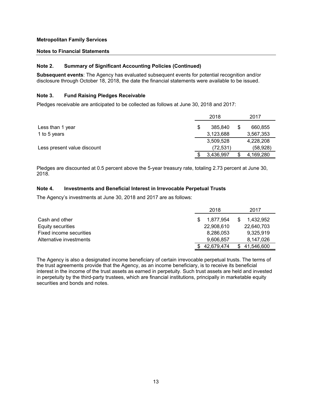#### **Notes to Financial Statements**

### **Note 2. Summary of Significant Accounting Policies (Continued)**

**Subsequent events**: The Agency has evaluated subsequent events for potential recognition and/or disclosure through October 18, 2018, the date the financial statements were available to be issued.

#### **Note 3. Fund Raising Pledges Receivable**

Pledges receivable are anticipated to be collected as follows at June 30, 2018 and 2017:

|                             | 2018          | 2017      |
|-----------------------------|---------------|-----------|
| Less than 1 year            | \$<br>385,840 | 660,855   |
| 1 to 5 years                | 3,123,688     | 3,567,353 |
|                             | 3,509,528     | 4,228,208 |
| Less present value discount | (72,531)      | (58,928)  |
|                             | 3,436,997     | 4,169,280 |

Pledges are discounted at 0.5 percent above the 5-year treasury rate, totaling 2.73 percent at June 30, 2018.

### **Note 4. Investments and Beneficial Interest in Irrevocable Perpetual Trusts**

The Agency's investments at June 30, 2018 and 2017 are as follows:

|                         | 2018       | 2017       |
|-------------------------|------------|------------|
| Cash and other          | 1.877.954  | 1.432.952  |
| Equity securities       | 22,908,610 | 22,640,703 |
| Fixed income securities | 8,286,053  | 9,325,919  |
| Alternative investments | 9.606.857  | 8,147,026  |
|                         | 42.679.474 | 41,546,600 |

The Agency is also a designated income beneficiary of certain irrevocable perpetual trusts. The terms of the trust agreements provide that the Agency, as an income beneficiary, is to receive its beneficial interest in the income of the trust assets as earned in perpetuity. Such trust assets are held and invested in perpetuity by the third-party trustees, which are financial institutions, principally in marketable equity securities and bonds and notes.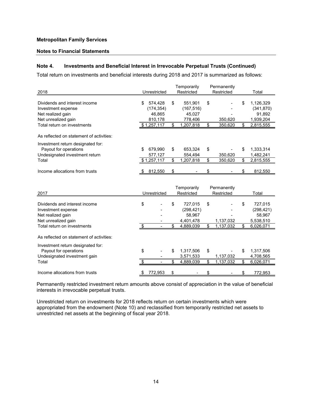#### **Notes to Financial Statements**

### **Note 4. Investments and Beneficial Interest in Irrevocable Perpetual Trusts (Continued)**

Total return on investments and beneficial interests during 2018 and 2017 is summarized as follows:

|                                                                                              |                             | Temporarily                           | Permanently                  |                         |                                 |
|----------------------------------------------------------------------------------------------|-----------------------------|---------------------------------------|------------------------------|-------------------------|---------------------------------|
| 2018                                                                                         | Unrestricted                | Restricted                            | Restricted                   |                         | Total                           |
| Dividends and interest income<br>Investment expense                                          | \$<br>574,428<br>(174, 354) | \$<br>551,901<br>(167, 516)           | \$                           | \$                      | 1,126,329<br>(341, 870)         |
| Net realized gain                                                                            | 46,865                      | 45,027                                |                              |                         | 91,892                          |
| Net unrealized gain<br>Total return on investments                                           | 810,178<br>\$1,257,117      | \$<br>778,406<br>1,207,818            | \$<br>350,620<br>350,620     | \$                      | 1,939,204<br>2,815,555          |
| As reflected on statement of activities:                                                     |                             |                                       |                              |                         |                                 |
| Investment return designated for:<br>Payout for operations<br>Undesignated investment return | \$<br>679,990<br>577,127    | \$<br>653,324<br>554,494              | \$<br>350,620                | \$                      | 1,333,314<br>1,482,241          |
| Total                                                                                        | \$1,257,117                 | \$<br>1,207,818                       | \$<br>350,620                | \$                      | 2,815,555                       |
| Income allocations from trusts                                                               | 812,550                     | \$                                    | \$                           |                         | 812,550                         |
|                                                                                              |                             |                                       |                              |                         |                                 |
| 2017                                                                                         | Unrestricted                | Temporarily<br>Restricted             | Permanently<br>Restricted    |                         | Total                           |
| Dividends and interest income<br>Investment expense<br>Net realized gain                     | \$                          | \$<br>727,015<br>(298, 421)<br>58,967 | \$                           | \$                      | 727,015<br>(298, 421)<br>58,967 |
| Net unrealized gain<br>Total return on investments                                           | \$                          | \$<br>4,401,478<br>4,889,039          | \$<br>1,137,032<br>1,137,032 | $\overline{\mathbf{S}}$ | 5,538,510<br>6,026,071          |
| As reflected on statement of activities:                                                     |                             |                                       |                              |                         |                                 |
| Investment return designated for:<br>Payout for operations<br>Undesignated investment gain   | \$                          | \$<br>1,317,506<br>3,571,533          | \$<br>1,137,032              | \$                      | 1,317,506<br>4,708,565          |
| Total                                                                                        |                             | \$<br>4,889,039                       | \$<br>1,137,032              | \$                      | 6,026,071                       |

Permanently restricted investment return amounts above consist of appreciation in the value of beneficial interests in irrevocable perpetual trusts.

Unrestricted return on investments for 2018 reflects return on certain investments which were appropriated from the endowment (Note 10) and reclassified from temporarily restricted net assets to unrestricted net assets at the beginning of fiscal year 2018.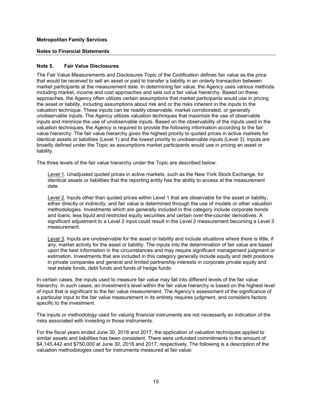#### **Notes to Financial Statements**

#### **Note 5. Fair Value Disclosures**

The Fair Value Measurements and Disclosures Topic of the Codification defines fair value as the price that would be received to sell an asset or paid to transfer a liability in an orderly transaction between market participants at the measurement date. In determining fair value, the Agency uses various methods including market, income and cost approaches and sets out a fair value hierarchy. Based on these approaches, the Agency often utilizes certain assumptions that market participants would use in pricing the asset or liability, including assumptions about risk and or the risks inherent in the inputs to the valuation technique. These inputs can be readily observable, market corroborated, or generally unobservable inputs. The Agency utilizes valuation techniques that maximize the use of observable inputs and minimize the use of unobservable inputs. Based on the observability of the inputs used in the valuation techniques, the Agency is required to provide the following information according to the fair value hierarchy. The fair value hierarchy gives the highest priority to quoted prices in active markets for identical assets or liabilities (Level 1) and the lowest priority to unobservable inputs (Level 3). Inputs are broadly defined under the Topic as assumptions market participants would use in pricing an asset or liability.

The three levels of the fair value hierarchy under the Topic are described below:

Level 1. Unadjusted quoted prices in active markets, such as the New York Stock Exchange, for identical assets or liabilities that the reporting entity has the ability to access at the measurement date.

Level 2. Inputs other than quoted prices within Level 1 that are observable for the asset or liability, either directly or indirectly; and fair value is determined through the use of models or other valuation methodologies. Investments which are generally included in this category include corporate bonds and loans, less liquid and restricted equity securities and certain over-the-counter derivatives. A significant adjustment to a Level 2 input could result in the Level 2 measurement becoming a Level 3 measurement.

Level 3. Inputs are unobservable for the asset or liability and include situations where there is little, if any, market activity for the asset or liability. The inputs into the determination of fair value are based upon the best information in the circumstances and may require significant management judgment or estimation. Investments that are included in this category generally include equity and debt positions in private companies and general and limited partnership interests in corporate private equity and real estate funds, debt funds and funds of hedge funds.

In certain cases, the inputs used to measure fair value may fall into different levels of the fair value hierarchy. In such cases, an investment's level within the fair value hierarchy is based on the highest level of input that is significant to the fair value measurement. The Agency's assessment of the significance of a particular input to the fair value measurement in its entirety requires judgment, and considers factors specific to the investment.

The inputs or methodology used for valuing financial instruments are not necessarily an indication of the risks associated with investing in those instruments.

For the fiscal years ended June 30, 2018 and 2017, the application of valuation techniques applied to similar assets and liabilities has been consistent. There were unfunded commitments in the amount of \$4,145,442 and \$750,000 at June 30, 2018 and 2017, respectively. The following is a description of the valuation methodologies used for instruments measured at fair value: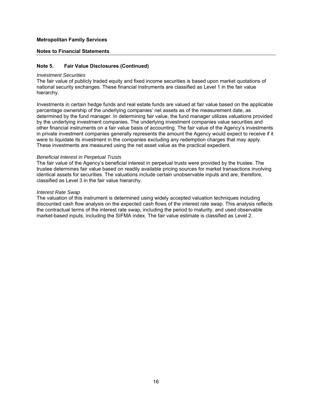#### **Notes to Financial Statements**

### **Note 5. Fair Value Disclosures (Continued)**

#### *Investment Securities*

The fair value of publicly traded equity and fixed income securities is based upon market quotations of national security exchanges. These financial instruments are classified as Level 1 in the fair value hierarchy.

Investments in certain hedge funds and real estate funds are valued at fair value based on the applicable percentage ownership of the underlying companies' net assets as of the measurement date, as determined by the fund manager. In determining fair value, the fund manager utilizes valuations provided by the underlying investment companies. The underlying investment companies value securities and other financial instruments on a fair value basis of accounting. The fair value of the Agency's investments in private investment companies generally represents the amount the Agency would expect to receive if it were to liquidate its investment in the companies excluding any redemption charges that may apply. These investments are measured using the net asset value as the practical expedient.

#### *Beneficial Interest in Perpetual Trusts*

The fair value of the Agency's beneficial interest in perpetual trusts were provided by the trustee. The trustee determines fair value based on readily available pricing sources for market transactions involving identical assets for securities. The valuations include certain unobservable inputs and are, therefore, classified as Level 3 in the fair value hierarchy.

#### *Interest Rate Swap*

The valuation of this instrument is determined using widely accepted valuation techniques including discounted cash flow analysis on the expected cash flows of the interest rate swap. This analysis reflects the contractual terms of the interest rate swap, including the period to maturity, and used observable market-based inputs, including the SIFMA index. The fair value estimate is classified as Level 2.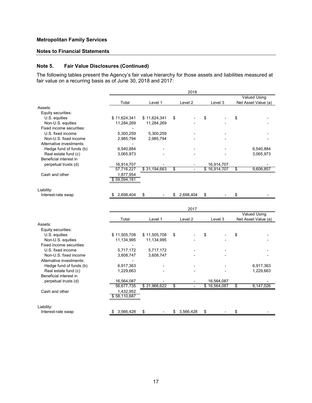# **Notes to Financial Statements**

# **Note 5. Fair Value Disclosures (Continued)**

The following tables present the Agency's fair value hierarchy for those assets and liabilities measured at fair value on a recurring basis as of June 30, 2018 and 2017:

|                                               |                           |              | 2018                 |                            |                     |
|-----------------------------------------------|---------------------------|--------------|----------------------|----------------------------|---------------------|
|                                               |                           |              |                      |                            | <b>Valued Using</b> |
| Assets:                                       | Total                     | Level 1      | Level <sub>2</sub>   | Level 3                    | Net Asset Value (a) |
| Equity securities:                            |                           |              |                      |                            |                     |
| U.S. equities                                 | \$11,624,341              | \$11,624,341 | \$                   | \$                         | \$                  |
| Non-U.S. equities                             | 11,284,269                | 11,284,269   |                      |                            |                     |
| Fixed income securities:                      |                           |              |                      |                            |                     |
| U.S. fixed income                             | 5,300,259                 | 5,300,259    |                      |                            |                     |
| Non-U.S. fixed income                         | 2,985,794                 | 2,985,794    |                      |                            |                     |
| Alternative investments:                      |                           |              |                      |                            |                     |
| Hedge fund of funds (b)                       | 6,540,884                 |              |                      |                            | 6,540,884           |
| Real estate fund (c)                          | 3,065,973                 |              |                      |                            | 3,065,973           |
| Beneficial interest in                        |                           |              |                      |                            |                     |
| perpetual trusts (d)                          | 16,914,707                |              |                      | 16,914,707                 |                     |
|                                               | 57,716,227                | \$31,194,663 | \$<br>$\overline{a}$ | \$16,914,707               | \$<br>9,606,857     |
| Cash and other                                | 1,877,954                 |              |                      |                            |                     |
|                                               | \$59,594,181              |              |                      |                            |                     |
|                                               |                           |              |                      |                            |                     |
| Liability:                                    |                           |              |                      |                            |                     |
| Interest-rate swap                            | 2,698,404<br>S            | \$           | \$<br>2,698,404      | \$                         | \$                  |
|                                               |                           |              |                      |                            |                     |
|                                               |                           |              |                      |                            |                     |
|                                               |                           |              | 2017                 |                            |                     |
|                                               |                           |              |                      |                            | <b>Valued Using</b> |
|                                               | Total                     | Level 1      | Level 2              | Level 3                    | Net Asset Value (a) |
| Assets:                                       |                           |              |                      |                            |                     |
| Equity securities:                            |                           |              |                      |                            | \$                  |
| U.S. equities                                 | \$11,505,708              | \$11,505,708 | \$                   | \$                         |                     |
| Non-U.S. equities<br>Fixed income securities: | 11,134,995                | 11,134,995   |                      |                            |                     |
|                                               |                           |              |                      |                            |                     |
| U.S. fixed income                             | 5,717,172                 | 5,717,172    |                      |                            |                     |
| Non-U.S. fixed income                         | 3,608,747                 | 3,608,747    |                      |                            |                     |
| Alternative investments:                      |                           |              |                      |                            |                     |
| Hedge fund of funds (b)                       | 6,917,363                 |              |                      |                            | 6,917,363           |
| Real estate fund (c)                          | 1,229,663                 |              |                      |                            | 1,229,663           |
| Beneficial interest in                        |                           |              |                      |                            |                     |
| perpetual trusts (d)                          | 16,564,087<br>56,677,735  | \$31,966,622 | \$                   | 16,564,087<br>\$16,564,087 | \$<br>8,147,026     |
|                                               |                           |              |                      |                            |                     |
| Cash and other                                | 1,432,952<br>\$58,110,687 |              |                      |                            |                     |
|                                               |                           |              |                      |                            |                     |
| Liability:                                    |                           |              |                      |                            |                     |
| Interest-rate swap                            | 3,566,428<br>S            | \$           | \$<br>3,566,428      | \$                         | \$                  |
|                                               |                           |              |                      |                            |                     |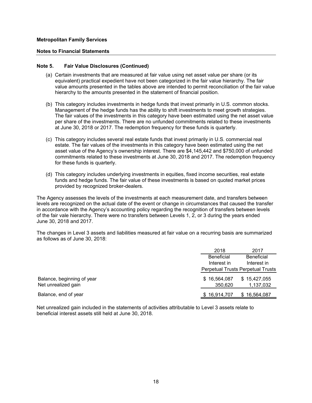#### **Notes to Financial Statements**

#### **Note 5. Fair Value Disclosures (Continued)**

- (a) Certain investments that are measured at fair value using net asset value per share (or its equivalent) practical expedient have not been categorized in the fair value hierarchy. The fair value amounts presented in the tables above are intended to permit reconciliation of the fair value hierarchy to the amounts presented in the statement of financial position.
- (b) This category includes investments in hedge funds that invest primarily in U.S. common stocks. Management of the hedge funds has the ability to shift investments to meet growth strategies. The fair values of the investments in this category have been estimated using the net asset value per share of the investments. There are no unfunded commitments related to these investments at June 30, 2018 or 2017. The redemption frequency for these funds is quarterly.
- (c) This category includes several real estate funds that invest primarily in U.S. commercial real estate. The fair values of the investments in this category have been estimated using the net asset value of the Agency's ownership interest. There are \$4,145,442 and \$750,000 of unfunded commitments related to these investments at June 30, 2018 and 2017. The redemption frequency for these funds is quarterly.
- (d) This category includes underlying investments in equities, fixed income securities, real estate funds and hedge funds. The fair value of these investments is based on quoted market prices provided by recognized broker-dealers.

The Agency assesses the levels of the investments at each measurement date, and transfers between levels are recognized on the actual date of the event or change in circumstances that caused the transfer in accordance with the Agency's accounting policy regarding the recognition of transfers between levels of the fair vale hierarchy. There were no transfers between Levels 1, 2, or 3 during the years ended June 30, 2018 and 2017.

The changes in Level 3 assets and liabilities measured at fair value on a recurring basis are summarized as follows as of June 30, 2018:

|                                                   | 2018                    | 2017                                     |
|---------------------------------------------------|-------------------------|------------------------------------------|
|                                                   | <b>Beneficial</b>       | <b>Beneficial</b>                        |
|                                                   | Interest in             | Interest in                              |
|                                                   |                         | <b>Perpetual Trusts Perpetual Trusts</b> |
| Balance, beginning of year<br>Net unrealized gain | \$16,564,087<br>350.620 | \$15,427,055<br>1,137,032                |
| Balance, end of year                              | \$16,914,707            | \$16,564,087                             |

Net unrealized gain included in the statements of activities attributable to Level 3 assets relate to beneficial interest assets still held at June 30, 2018.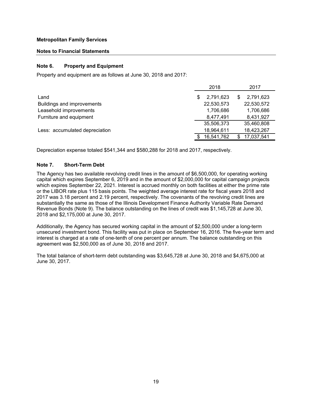#### **Notes to Financial Statements**

#### **Note 6. Property and Equipment**

Property and equipment are as follows at June 30, 2018 and 2017:

|                                |   | 2018       | 2017       |
|--------------------------------|---|------------|------------|
| Land                           | S | 2,791,623  | 2,791,623  |
| Buildings and improvements     |   | 22,530,573 | 22,530,572 |
| Leasehold improvements         |   | 1,706,686  | 1,706,686  |
| Furniture and equipment        |   | 8,477,491  | 8,431,927  |
|                                |   | 35,506,373 | 35,460,808 |
| Less: accumulated depreciation |   | 18,964,611 | 18,423,267 |
|                                |   | 16,541,762 | 17,037,541 |

Depreciation expense totaled \$541,344 and \$580,288 for 2018 and 2017, respectively.

# **Note 7. Short-Term Debt**

The Agency has two available revolving credit lines in the amount of \$6,500,000, for operating working capital which expires September 6, 2019 and in the amount of \$2,000,000 for capital campaign projects which expires September 22, 2021. Interest is accrued monthly on both facilities at either the prime rate or the LIBOR rate plus 115 basis points. The weighted average interest rate for fiscal years 2018 and 2017 was 3.18 percent and 2.19 percent, respectively. The covenants of the revolving credit lines are substantially the same as those of the Illinois Development Finance Authority Variable Rate Demand Revenue Bonds (Note 9). The balance outstanding on the lines of credit was \$1,145,728 at June 30, 2018 and \$2,175,000 at June 30, 2017.

Additionally, the Agency has secured working capital in the amount of \$2,500,000 under a long-term unsecured investment bond. This facility was put in place on September 16, 2016. The five-year term and interest is charged at a rate of one-tenth of one percent per annum. The balance outstanding on this agreement was \$2,500,000 as of June 30, 2018 and 2017.

The total balance of short-term debt outstanding was \$3,645,728 at June 30, 2018 and \$4,675,000 at June 30, 2017.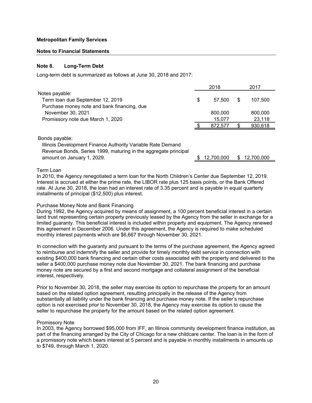#### **Notes to Financial Statements**

#### **Note 8. Long-Term Debt**

Long-term debt is summarized as follows at June 30, 2018 and 2017:

|                                             | 2018         | 2017    |
|---------------------------------------------|--------------|---------|
| Notes payable:                              |              |         |
| Term loan due September 12, 2019            | \$<br>57.500 | 107.500 |
| Purchase money note and bank financing, due |              |         |
| November 30, 2021                           | 800,000      | 800,000 |
| Promissory note due March 1, 2020           | 15,077       | 23,118  |
|                                             | 872.577      | 930,618 |
|                                             |              |         |

Bonds payable:

Illinois Development Finance Authority Variable Rate Demand Revenue Bonds, Series 1999, maturing in the aggregate principal

amount on January 1, 2029. **but also are the set of the set of the set of the set of the set of the set of the s** 

#### Term Loan

In 2010, the Agency renegotiated a term loan for the North Children's Center due September 12, 2019. Interest is accrued at either the prime rate, the LIBOR rate plus 125 basis points, or the Bank Offered rate. At June 30, 2018, the loan had an interest rate of 3.35 percent and is payable in equal quarterly installments of principal (\$12,500) plus interest.

#### Purchase Money Note and Bank Financing

During 1992, the Agency acquired by means of assignment, a 100 percent beneficial interest in a certain land trust representing certain property previously leased by the Agency from the seller in exchange for a limited guaranty. This beneficial interest is included within property and equipment. The Agency renewed this agreement in December 2006. Under this agreement, the Agency is required to make scheduled monthly interest payments which are \$6,667 through November 30, 2021.

In connection with the guaranty and pursuant to the terms of the purchase agreement, the Agency agreed to reimburse and indemnify the seller and provide for timely monthly debt service in connection with existing \$400,000 bank financing and certain other costs associated with the property and delivered to the seller a \$400,000 purchase money note due November 30, 2021. The bank financing and purchase money note are secured by a first and second mortgage and collateral assignment of the beneficial interest, respectively.

Prior to November 30, 2018, the seller may exercise its option to repurchase the property for an amount based on the related option agreement, resulting principally in the release of the Agency from substantially all liability under the bank financing and purchase money note. If the seller's repurchase option is not exercised prior to November 30, 2018, the Agency may exercise its option to cause the seller to repurchase the property for the amount based on the related option agreement.

#### Promissory Note

In 2003, the Agency borrowed \$95,000 from IFF, an Illinois community development finance institution, as part of the financing arranged by the City of Chicago for a new childcare center. The loan is in the form of a promissory note which bears interest at 5 percent and is payable in monthly installments in amounts up to \$749, through March 1, 2020.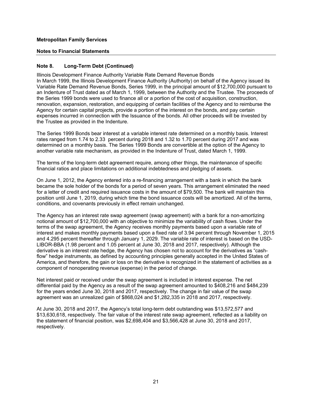#### **Notes to Financial Statements**

# **Note 8. Long-Term Debt (Continued)**

Illinois Development Finance Authority Variable Rate Demand Revenue Bonds In March 1999, the Illinois Development Finance Authority (Authority) on behalf of the Agency issued its Variable Rate Demand Revenue Bonds, Series 1999, in the principal amount of \$12,700,000 pursuant to an Indenture of Trust dated as of March 1, 1999, between the Authority and the Trustee. The proceeds of the Series 1999 bonds were used to finance all or a portion of the cost of acquisition, construction, renovation, expansion, restoration, and equipping of certain facilities of the Agency and to reimburse the Agency for certain capital projects, provide a portion of the interest on the bonds, and pay certain expenses incurred in connection with the Issuance of the bonds. All other proceeds will be invested by the Trustee as provided in the Indenture.

The Series 1999 Bonds bear interest at a variable interest rate determined on a monthly basis. Interest rates ranged from 1.74 to 2.33 percent during 2018 and 1.32 to 1.70 percent during 2017 and was determined on a monthly basis. The Series 1999 Bonds are convertible at the option of the Agency to another variable rate mechanism, as provided in the Indenture of Trust, dated March 1, 1999.

The terms of the long-term debt agreement require, among other things, the maintenance of specific financial ratios and place limitations on additional indebtedness and pledging of assets.

On June 1, 2012, the Agency entered into a re-financing arrangement with a bank in which the bank became the sole holder of the bonds for a period of seven years. This arrangement eliminated the need for a letter of credit and required issuance costs in the amount of \$79,500. The bank will maintain this position until June 1, 2019, during which time the bond issuance costs will be amortized. All of the terms, conditions, and covenants previously in effect remain unchanged.

The Agency has an interest rate swap agreement (swap agreement) with a bank for a non-amortizing notional amount of \$12,700,000 with an objective to minimize the variability of cash flows. Under the terms of the swap agreement, the Agency receives monthly payments based upon a variable rate of interest and makes monthly payments based upon a fixed rate of 3.94 percent through November 1, 2015 and 4.295 percent thereafter through January 1, 2029. The variable rate of interest is based on the USD-LIBOR-BBA (1.98 percent and 1.05 percent at June 30, 2018 and 2017, respectively). Although the derivative is an interest rate hedge, the Agency has chosen not to account for the derivatives as "cashflow" hedge instruments, as defined by accounting principles generally accepted in the United States of America, and therefore, the gain or loss on the derivative is recognized in the statement of activities as a component of nonoperating revenue (expense) in the period of change.

Net interest paid or received under the swap agreement is included in interest expense. The net differential paid by the Agency as a result of the swap agreement amounted to \$408,216 and \$484,239 for the years ended June 30, 2018 and 2017, respectively. The change in fair value of the swap agreement was an unrealized gain of \$868,024 and \$1,282,335 in 2018 and 2017, respectively.

At June 30, 2018 and 2017, the Agency's total long-term debt outstanding was \$13,572,577 and \$13,630,618, respectively. The fair value of the interest rate swap agreement, reflected as a liability on the statement of financial position, was \$2,698,404 and \$3,566,428 at June 30, 2018 and 2017, respectively.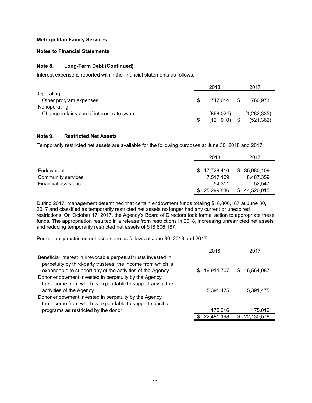#### **Notes to Financial Statements**

#### **Note 8. Long-Term Debt (Continued)**

Interest expense is reported within the financial statements as follows:

|                                            |     | 2018       |     | 2017          |
|--------------------------------------------|-----|------------|-----|---------------|
| Operating:                                 |     |            |     |               |
| Other program expenses                     | \$. | 747.014    | \$. | 760.973       |
| Nonoperating:                              |     |            |     |               |
| Change in fair value of interest rate swap |     | (868, 024) |     | (1, 282, 335) |
|                                            |     | (121, 010) |     | (521, 362)    |

### **Note 9. Restricted Net Assets**

Temporarily restricted net assets are available for the following purposes at June 30, 2018 and 2017:

|                      | 2018         | 2017         |
|----------------------|--------------|--------------|
| Endowment            | \$17,728,416 | \$35,980,109 |
| Community services   | 7,517,109    | 8,487,359    |
| Financial assistance | 54.311       | 52,547       |
|                      | 25,299,836   | 44,520,015   |

During 2017, management determined that certain endowment funds totaling \$18,806,187 at June 30, 2017 and classified as temporarily restricted net assets no longer had any current or unexpired restrictions. On October 17, 2017, the Agency's Board of Directors took formal action to appropriate these funds. The appropriation resulted in a release from restrictions in 2018, increasing unrestricted net assets and reducing temporarily restricted net assets of \$18,806,187.

Permanently restricted net assets are as follows at June 30, 2018 and 2017:

|                                                                                                                                                                                              | 2018            | 2017             |
|----------------------------------------------------------------------------------------------------------------------------------------------------------------------------------------------|-----------------|------------------|
| Beneficial interest in irrevocable perpetual trusts invested in<br>perpetuity by third-party trustees, the income from which is<br>expendable to support any of the activities of the Agency | 16,914,707<br>S | 16,564,087<br>S. |
| Donor endowment invested in perpetuity by the Agency,<br>the income from which is expendable to support any of the                                                                           |                 |                  |
| activities of the Agency                                                                                                                                                                     | 5,391,475       | 5,391,475        |
| Donor endowment invested in perpetuity by the Agency,                                                                                                                                        |                 |                  |
| the income from which is expendable to support specific                                                                                                                                      |                 |                  |
| programs as restricted by the donor                                                                                                                                                          | 175,016         | 175,016          |
|                                                                                                                                                                                              | 22,481,198      | 22,130,578       |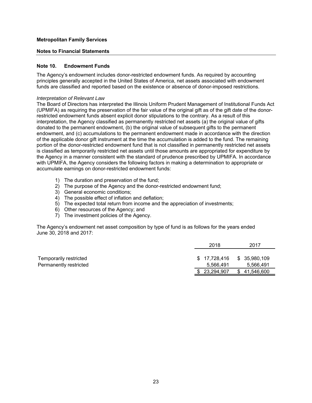#### **Notes to Financial Statements**

#### **Note 10. Endowment Funds**

The Agency's endowment includes donor-restricted endowment funds. As required by accounting principles generally accepted in the United States of America, net assets associated with endowment funds are classified and reported based on the existence or absence of donor-imposed restrictions.

#### *Interpretation of Relevant Law*

The Board of Directors has interpreted the Illinois Uniform Prudent Management of Institutional Funds Act (UPMIFA) as requiring the preservation of the fair value of the original gift as of the gift date of the donorrestricted endowment funds absent explicit donor stipulations to the contrary. As a result of this interpretation, the Agency classified as permanently restricted net assets (a) the original value of gifts donated to the permanent endowment, (b) the original value of subsequent gifts to the permanent endowment, and (c) accumulations to the permanent endowment made in accordance with the direction of the applicable donor gift instrument at the time the accumulation is added to the fund. The remaining portion of the donor-restricted endowment fund that is not classified in permanently restricted net assets is classified as temporarily restricted net assets until those amounts are appropriated for expenditure by the Agency in a manner consistent with the standard of prudence prescribed by UPMIFA. In accordance with UPMIFA, the Agency considers the following factors in making a determination to appropriate or accumulate earnings on donor-restricted endowment funds:

- 1) The duration and preservation of the fund;
- 2) The purpose of the Agency and the donor-restricted endowment fund;
- 3) General economic conditions;
- 4) The possible effect of inflation and deflation;
- 5) The expected total return from income and the appreciation of investments;
- 6) Other resources of the Agency; and
- 7) The investment policies of the Agency.

The Agency's endowment net asset composition by type of fund is as follows for the years ended June 30, 2018 and 2017:

|                                                  | 2018                      | 2017                       |
|--------------------------------------------------|---------------------------|----------------------------|
| Temporarily restricted<br>Permanently restricted | \$17,728,416<br>5,566,491 | \$ 35,980,109<br>5,566,491 |
|                                                  | 23,294,907                | 41,546,600                 |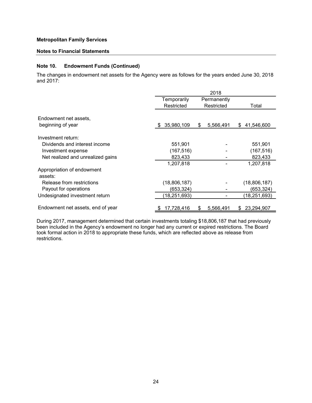#### **Notes to Financial Statements**

# **Note 10. Endowment Funds (Continued)**

The changes in endowment net assets for the Agency were as follows for the years ended June 30, 2018 and 2017:

|                                   | 2018            |    |             |                  |  |  |
|-----------------------------------|-----------------|----|-------------|------------------|--|--|
|                                   | Temporarily     |    | Permanently |                  |  |  |
|                                   | Restricted      |    | Restricted  | Total            |  |  |
|                                   |                 |    |             |                  |  |  |
| Endowment net assets,             |                 |    |             |                  |  |  |
| beginning of year                 | 35,980,109<br>S | \$ | 5,566,491   | 41,546,600<br>\$ |  |  |
|                                   |                 |    |             |                  |  |  |
| Investment return:                |                 |    |             |                  |  |  |
| Dividends and interest income     | 551,901         |    |             | 551,901          |  |  |
| Investment expense                | (167, 516)      |    |             | (167, 516)       |  |  |
| Net realized and unrealized gains | 823,433         |    |             | 823,433          |  |  |
|                                   | 1,207,818       |    |             | 1,207,818        |  |  |
| Appropriation of endowment        |                 |    |             |                  |  |  |
| assets:                           |                 |    |             |                  |  |  |
| Release from restrictions         | (18,806,187)    |    |             | (18,806,187)     |  |  |
| Payout for operations             | (653,324)       |    |             | (653,324)        |  |  |
| Undesignated investment return    | (18, 251, 693)  |    |             | (18, 251, 693)   |  |  |
|                                   |                 |    |             |                  |  |  |
| Endowment net assets, end of year | 17,728,416      | S  | 5,566,491   | 23,294,907<br>S  |  |  |

During 2017, management determined that certain investments totaling \$18,806,187 that had previously been included in the Agency's endowment no longer had any current or expired restrictions. The Board took formal action in 2018 to appropriate these funds, which are reflected above as release from restrictions.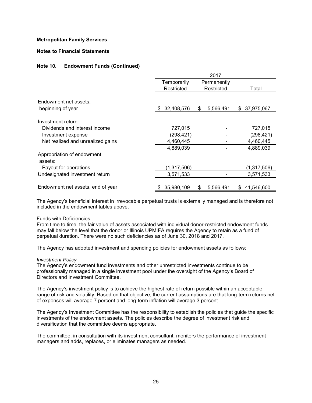#### **Notes to Financial Statements**

# **Note 10. Endowment Funds (Continued)**

|                                            | 2017              |                 |                  |  |  |  |
|--------------------------------------------|-------------------|-----------------|------------------|--|--|--|
|                                            | Temporarily       | Permanently     |                  |  |  |  |
|                                            | Restricted        | Restricted      | Total            |  |  |  |
| Endowment net assets,<br>beginning of year | 32,408,576<br>-SS | 5,566,491<br>\$ | 37,975,067<br>\$ |  |  |  |
|                                            |                   |                 |                  |  |  |  |
| Investment return:                         |                   |                 |                  |  |  |  |
| Dividends and interest income              | 727,015           |                 | 727,015          |  |  |  |
| Investment expense                         | (298, 421)        |                 | (298, 421)       |  |  |  |
| Net realized and unrealized gains          | 4,460,445         |                 | 4,460,445        |  |  |  |
|                                            | 4,889,039         |                 | 4,889,039        |  |  |  |
| Appropriation of endowment<br>assets:      |                   |                 |                  |  |  |  |
| Payout for operations                      | (1,317,506)       |                 | (1,317,506)      |  |  |  |
| Undesignated investment return             | 3,571,533         |                 | 3,571,533        |  |  |  |
| Endowment net assets, end of year          | 35,980,109        | 5,566,491<br>S  | 41,546,600<br>S. |  |  |  |

The Agency's beneficial interest in irrevocable perpetual trusts is externally managed and is therefore not included in the endowment tables above.

#### Funds with Deficiencies

From time to time, the fair value of assets associated with individual donor-restricted endowment funds may fall below the level that the donor or Illinois UPMIFA requires the Agency to retain as a fund of perpetual duration. There were no such deficiencies as of June 30, 2018 and 2017.

The Agency has adopted investment and spending policies for endowment assets as follows:

#### *Investment Policy*

The Agency's endowment fund investments and other unrestricted investments continue to be professionally managed in a single investment pool under the oversight of the Agency's Board of Directors and Investment Committee.

The Agency's investment policy is to achieve the highest rate of return possible within an acceptable range of risk and volatility. Based on that objective, the current assumptions are that long-term returns net of expenses will average 7 percent and long-term inflation will average 3 percent.

The Agency's Investment Committee has the responsibility to establish the policies that guide the specific investments of the endowment assets. The policies describe the degree of investment risk and diversification that the committee deems appropriate.

The committee, in consultation with its investment consultant, monitors the performance of investment managers and adds, replaces, or eliminates managers as needed.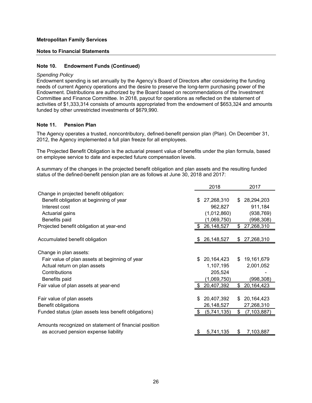#### **Notes to Financial Statements**

### **Note 10. Endowment Funds (Continued)**

#### *Spending Policy*

Endowment spending is set annually by the Agency's Board of Directors after considering the funding needs of current Agency operations and the desire to preserve the long-term purchasing power of the Endowment. Distributions are authorized by the Board based on recommendations of the Investment Committee and Finance Committee. In 2018, payout for operations as reflected on the statement of activities of \$1,333,314 consists of amounts appropriated from the endowment of \$653,324 and amounts funded by other unrestricted investments of \$679,990.

### **Note 11. Pension Plan**

The Agency operates a trusted, noncontributory, defined-benefit pension plan (Plan). On December 31, 2012, the Agency implemented a full plan freeze for all employees.

The Projected Benefit Obligation is the actuarial present value of benefits under the plan formula, based on employee service to date and expected future compensation levels.

A summary of the changes in the projected benefit obligation and plan assets and the resulting funded status of the defined-benefit pension plan are as follows at June 30, 2018 and 2017:

|                                                       | 2018             | 2017                |
|-------------------------------------------------------|------------------|---------------------|
| Change in projected benefit obligation:               |                  |                     |
| Benefit obligation at beginning of year               | 27,268,310<br>\$ | 28,294,203<br>\$.   |
| Interest cost                                         | 962,827          | 911,184             |
| Actuarial gains                                       | (1,012,860)      | (938, 769)          |
| Benefits paid                                         | (1,069,750)      | (998, 308)          |
| Projected benefit obligation at year-end              | 26,148,527       | \$<br>27,268,310    |
|                                                       |                  |                     |
| Accumulated benefit obligation                        | 26,148,527       | \$27,268,310        |
|                                                       |                  |                     |
| Change in plan assets:                                |                  |                     |
| Fair value of plan assets at beginning of year        | 20,164,423<br>\$ | 19,161,679<br>\$.   |
| Actual return on plan assets                          | 1,107,195        | 2,001,052           |
| Contributions                                         | 205,524          |                     |
| Benefits paid                                         | (1,069,750)      | (998, 308)          |
| Fair value of plan assets at year-end                 | 20,407,392       | 20, 164, 423<br>\$  |
|                                                       |                  |                     |
| Fair value of plan assets                             | 20,407,392<br>\$ | 20,164,423<br>\$    |
| Benefit obligations                                   | 26,148,527       | 27,268,310          |
| Funded status (plan assets less benefit obligations)  | (5,741,135)      | (7, 103, 887)<br>\$ |
|                                                       |                  |                     |
| Amounts recognized on statement of financial position |                  |                     |
| as accrued pension expense liability                  | 5,741,135        | 7,103,887<br>\$.    |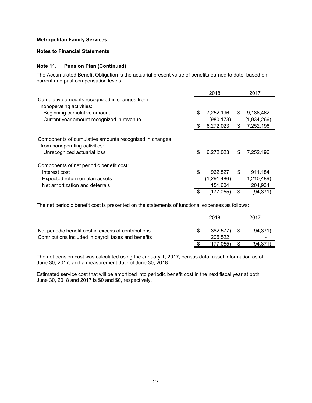#### **Notes to Financial Statements**

#### **Note 11. Pension Plan (Continued)**

The Accumulated Benefit Obligation is the actuarial present value of benefits earned to date, based on current and past compensation levels.

|                                                                                         | 2018            |    | 2017        |
|-----------------------------------------------------------------------------------------|-----------------|----|-------------|
| Cumulative amounts recognized in changes from<br>nonoperating activities:               |                 |    |             |
| Beginning cumulative amount                                                             | \$<br>7,252,196 | S  | 9,186,462   |
| Current year amount recognized in revenue                                               | (980,173)       |    | (1,934,266) |
|                                                                                         | 6,272,023       | \$ | 7,252,196   |
|                                                                                         |                 |    |             |
| Components of cumulative amounts recognized in changes<br>from nonoperating activities: |                 |    |             |
| Unrecognized actuarial loss                                                             | 6,272,023       | S  | 7,252,196   |
|                                                                                         |                 |    |             |
| Components of net periodic benefit cost:                                                |                 |    |             |
| Interest cost                                                                           | \$<br>962,827   | \$ | 911,184     |
| Expected return on plan assets                                                          | (1, 291, 486)   |    | (1,210,489) |
| Net amortization and deferrals                                                          | 151,604         |    | 204,934     |
|                                                                                         | (177,055)       | S  | (94,371)    |

The net periodic benefit cost is presented on the statements of functional expenses as follows:

|                                                                                                              | 2018                  |      | 2017                        |
|--------------------------------------------------------------------------------------------------------------|-----------------------|------|-----------------------------|
| Net periodic benefit cost in excess of contributions<br>Contributions included in payroll taxes and benefits | (382, 577)<br>205.522 | - SS | (94, 371)<br>$\blacksquare$ |
|                                                                                                              | (177.055)             |      | (94,371                     |

The net pension cost was calculated using the January 1, 2017, census data, asset information as of June 30, 2017, and a measurement date of June 30, 2018.

Estimated service cost that will be amortized into periodic benefit cost in the next fiscal year at both June 30, 2018 and 2017 is \$0 and \$0, respectively.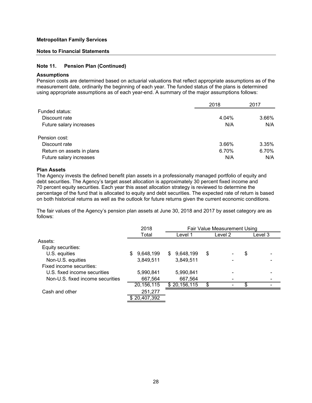#### **Notes to Financial Statements**

#### **Note 11. Pension Plan (Continued)**

#### **Assumptions**

Pension costs are determined based on actuarial valuations that reflect appropriate assumptions as of the measurement date, ordinarily the beginning of each year. The funded status of the plans is determined using appropriate assumptions as of each year-end. A summary of the major assumptions follows:

|                           | 2018  | 2017  |
|---------------------------|-------|-------|
| Funded status:            |       |       |
| Discount rate             | 4.04% | 3.66% |
| Future salary increases   | N/A   | N/A   |
| Pension cost:             |       |       |
| Discount rate             | 3.66% | 3.35% |
| Return on assets in plans | 6.70% | 6.70% |
| Future salary increases   | N/A   | N/A   |

#### **Plan Assets**

The Agency invests the defined benefit plan assets in a professionally managed portfolio of equity and debt securities. The Agency's target asset allocation is approximately 30 percent fixed income and 70 percent equity securities. Each year this asset allocation strategy is reviewed to determine the percentage of the fund that is allocated to equity and debt securities. The expected rate of return is based on both historical returns as well as the outlook for future returns given the current economic conditions.

The fair values of the Agency's pension plan assets at June 30, 2018 and 2017 by asset category are as follows:

|                                  | 2018           | Fair Value Measurement Using |         |         |
|----------------------------------|----------------|------------------------------|---------|---------|
|                                  | Total          | Level 1                      | Level 2 | Level 3 |
| Assets:                          |                |                              |         |         |
| Equity securities:               |                |                              |         |         |
| U.S. equities                    | 9,648,199<br>S | 9,648,199<br>\$.             | \$      | \$      |
| Non-U.S. equities                | 3,849,511      | 3,849,511                    |         |         |
| Fixed income securities:         |                |                              |         |         |
| U.S. fixed income securities     | 5,990,841      | 5,990,841                    |         |         |
| Non-U.S. fixed income securities | 667,564        | 667,564                      |         |         |
|                                  | 20,156,115     | \$20,156,115                 | \$<br>۰ | \$      |
| Cash and other                   | 251,277        |                              |         |         |
|                                  | \$20,407,392   |                              |         |         |
|                                  |                |                              |         |         |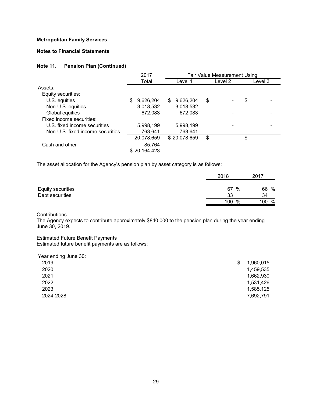### **Notes to Financial Statements**

# **Note 11. Pension Plan (Continued)**

|                                  | 2017           | Fair Value Measurement Using |         |         |
|----------------------------------|----------------|------------------------------|---------|---------|
|                                  | Total          | Level 1                      | Level 2 | Level 3 |
| Assets:                          |                |                              |         |         |
| Equity securities:               |                |                              |         |         |
| U.S. equities                    | 9,626,204<br>S | 9,626,204<br>\$              | \$      | \$      |
| Non-U.S. equities                | 3,018,532      | 3,018,532                    |         |         |
| Global equities                  | 672,083        | 672,083                      |         |         |
| Fixed income securities:         |                |                              |         |         |
| U.S. fixed income securities     | 5,998,199      | 5,998,199                    |         |         |
| Non-U.S. fixed income securities | 763,641        | 763,641                      |         |         |
|                                  | 20,078,659     | \$20,078,659                 | \$      | \$      |
| Cash and other                   | 85,764         |                              |         |         |
|                                  | 20,164,423     |                              |         |         |

The asset allocation for the Agency's pension plan by asset category is as follows:

|                   | 2018 | 2017          |
|-------------------|------|---------------|
| Equity securities | 67   | 66 %<br>%     |
| Debt securities   | 33   | 34            |
|                   | 100  | %<br>%<br>100 |

**Contributions** 

The Agency expects to contribute approximately \$840,000 to the pension plan during the year ending June 30, 2019.

Estimated Future Benefit Payments Estimated future benefit payments are as follows:

| 1,960,015 |
|-----------|
| 1,459,535 |
| 1,662,930 |
| 1,531,426 |
| 1,585,125 |
| 7,692,791 |
|           |